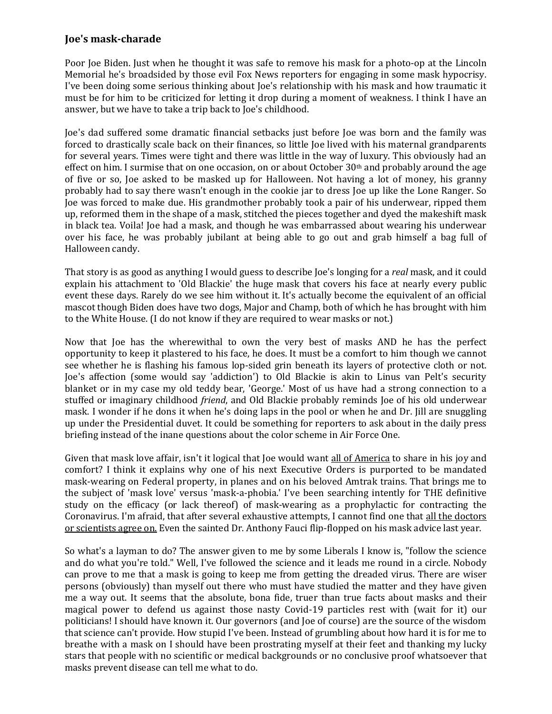## **Joe's mask-charade**

Poor Joe Biden. Just when he thought it was safe to remove his mask for a photo-op at the Lincoln Memorial he's broadsided by those evil Fox News reporters for engaging in some mask hypocrisy. I've been doing some serious thinking about Joe's relationship with his mask and how traumatic it must be for him to be criticized for letting it drop during a moment of weakness. I think I have an answer, but we have to take a trip back to Joe's childhood.

Joe's dad suffered some dramatic financial setbacks just before Joe was born and the family was forced to drastically scale back on their finances, so little Joe lived with his maternal grandparents for several years. Times were tight and there was little in the way of luxury. This obviously had an effect on him. I surmise that on one occasion, on or about October  $30<sup>th</sup>$  and probably around the age of five or so, Joe asked to be masked up for Halloween. Not having a lot of money, his granny probably had to say there wasn't enough in the cookie jar to dress Joe up like the Lone Ranger. So Joe was forced to make due. His grandmother probably took a pair of his underwear, ripped them up, reformed them in the shape of a mask, stitched the pieces together and dyed the makeshift mask in black tea. Voila! Joe had a mask, and though he was embarrassed about wearing his underwear over his face, he was probably jubilant at being able to go out and grab himself a bag full of Halloween candy.

That story is as good as anything I would guess to describe Joe's longing for a *real* mask, and it could explain his attachment to 'Old Blackie' the huge mask that covers his face at nearly every public event these days. Rarely do we see him without it. It's actually become the equivalent of an official mascot though Biden does have two dogs, Major and Champ, both of which he has brought with him to the White House. (I do not know if they are required to wear masks or not.)

Now that Joe has the wherewithal to own the very best of masks AND he has the perfect opportunity to keep it plastered to his face, he does. It must be a comfort to him though we cannot see whether he is flashing his famous lop-sided grin beneath its layers of protective cloth or not. Joe's affection (some would say 'addiction') to Old Blackie is akin to Linus van Pelt's security blanket or in my case my old teddy bear, 'George.' Most of us have had a strong connection to a stuffed or imaginary childhood *friend*, and Old Blackie probably reminds Joe of his old underwear mask. I wonder if he dons it when he's doing laps in the pool or when he and Dr. Jill are snuggling up under the Presidential duvet. It could be something for reporters to ask about in the daily press briefing instead of the inane questions about the color scheme in Air Force One.

Given that mask love affair, isn't it logical that Joe would want all of America to share in his joy and comfort? I think it explains why one of his next Executive Orders is purported to be mandated mask-wearing on Federal property, in planes and on his beloved Amtrak trains. That brings me to the subject of 'mask love' versus 'mask-a-phobia.' I've been searching intently for THE definitive study on the efficacy (or lack thereof) of mask-wearing as a prophylactic for contracting the Coronavirus. I'm afraid, that after several exhaustive attempts, I cannot find one that all the doctors or scientists agree on. Even the sainted Dr. Anthony Fauci flip-flopped on his mask advice last year.

So what's a layman to do? The answer given to me by some Liberals I know is, "follow the science and do what you're told." Well, I've followed the science and it leads me round in a circle. Nobody can prove to me that a mask is going to keep me from getting the dreaded virus. There are wiser persons (obviously) than myself out there who must have studied the matter and they have given me a way out. It seems that the absolute, bona fide, truer than true facts about masks and their magical power to defend us against those nasty Covid-19 particles rest with (wait for it) our politicians! I should have known it. Our governors (and Joe of course) are the source of the wisdom that science can't provide. How stupid I've been. Instead of grumbling about how hard it is for me to breathe with a mask on I should have been prostrating myself at their feet and thanking my lucky stars that people with no scientific or medical backgrounds or no conclusive proof whatsoever that masks prevent disease can tell me what to do.